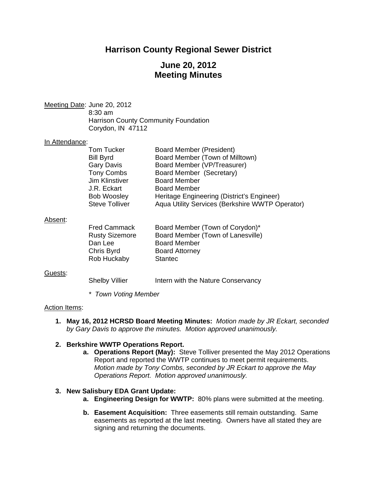# **Harrison County Regional Sewer District**

# **June 20, 2012 Meeting Minutes**

Meeting Date: June 20, 2012 8:30 am Harrison County Community Foundation Corydon, IN 47112

#### In Attendance:

| Tom Tucker            | Board Member (President)                        |
|-----------------------|-------------------------------------------------|
| <b>Bill Byrd</b>      | Board Member (Town of Milltown)                 |
| <b>Gary Davis</b>     | Board Member (VP/Treasurer)                     |
| <b>Tony Combs</b>     | Board Member (Secretary)                        |
| Jim Klinstiver        | <b>Board Member</b>                             |
| J.R. Eckart           | <b>Board Member</b>                             |
| <b>Bob Woosley</b>    | Heritage Engineering (District's Engineer)      |
| <b>Steve Tolliver</b> | Aqua Utility Services (Berkshire WWTP Operator) |

## Absent:

| <b>Fred Cammack</b>   | Board Member (Town of Corydon)*   |
|-----------------------|-----------------------------------|
| <b>Rusty Sizemore</b> | Board Member (Town of Lanesville) |
| Dan Lee               | <b>Board Member</b>               |
| Chris Byrd            | <b>Board Attorney</b>             |
| Rob Huckaby           | <b>Stantec</b>                    |
|                       |                                   |

## Guests:

Shelby Villier Intern with the Nature Conservancy

*\* Town Voting Member* 

## Action Items:

**1. May 16, 2012 HCRSD Board Meeting Minutes:** *Motion made by JR Eckart, seconded by Gary Davis to approve the minutes. Motion approved unanimously.* 

## **2. Berkshire WWTP Operations Report.**

**a. Operations Report (May):** Steve Tolliver presented the May 2012 Operations Report and reported the WWTP continues to meet permit requirements. *Motion made by Tony Combs, seconded by JR Eckart to approve the May Operations Report. Motion approved unanimously.* 

## **3. New Salisbury EDA Grant Update:**

- **a. Engineering Design for WWTP:** 80% plans were submitted at the meeting.
- **b. Easement Acquisition:** Three easements still remain outstanding. Same easements as reported at the last meeting. Owners have all stated they are signing and returning the documents.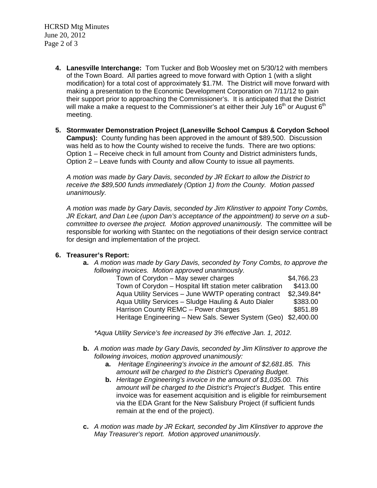HCRSD Mtg Minutes June 20, 2012 Page 2 of 3

- **4. Lanesville Interchange:** Tom Tucker and Bob Woosley met on 5/30/12 with members of the Town Board. All parties agreed to move forward with Option 1 (with a slight modification) for a total cost of approximately \$1.7M. The District will move forward with making a presentation to the Economic Development Corporation on 7/11/12 to gain their support prior to approaching the Commissioner's. It is anticipated that the District will make a make a request to the Commissioner's at either their July 16<sup>th</sup> or August 6<sup>th</sup> meeting.
- **5. Stormwater Demonstration Project (Lanesville School Campus & Corydon School Campus):** County funding has been approved in the amount of \$89,500. Discussion was held as to how the County wished to receive the funds. There are two options: Option 1 – Receive check in full amount from County and District administers funds, Option 2 – Leave funds with County and allow County to issue all payments.

*A motion was made by Gary Davis, seconded by JR Eckart to allow the District to receive the \$89,500 funds immediately (Option 1) from the County. Motion passed unanimously.* 

*A motion was made by Gary Davis, seconded by Jim Klinstiver to appoint Tony Combs, JR Eckart, and Dan Lee (upon Dan's acceptance of the appointment) to serve on a subcommittee to oversee the project. Motion approved unanimously.* The committee will be responsible for working with Stantec on the negotiations of their design service contract for design and implementation of the project.

## **6. Treasurer's Report:**

**a.** *A motion was made by Gary Davis, seconded by Tony Combs, to approve the following invoices. Motion approved unanimously.* 

| Town of Corydon - May sewer charges                            | \$4,766.23  |
|----------------------------------------------------------------|-------------|
| Town of Corydon - Hospital lift station meter calibration      | \$413.00    |
| Aqua Utility Services - June WWTP operating contract           | \$2,349.84* |
| Aqua Utility Services - Sludge Hauling & Auto Dialer           | \$383.00    |
| Harrison County REMC - Power charges                           | \$851.89    |
| Heritage Engineering - New Sals. Sewer System (Geo) \$2,400.00 |             |

*\*Aqua Utility Service's fee increased by 3% effective Jan. 1, 2012.* 

- **b.** *A motion was made by Gary Davis, seconded by Jim Klinstiver to approve the following invoices, motion approved unanimously:* 
	- **a.** *Heritage Engineering's invoice in the amount of \$2,681.85. This amount will be charged to the District's Operating Budget.*
	- **b.** *Heritage Engineering's invoice in the amount of \$1,035.00. This amount will be charged to the District's Project's Budget.* This entire invoice was for easement acquisition and is eligible for reimbursement via the EDA Grant for the New Salisbury Project (if sufficient funds remain at the end of the project).
- **c.** *A motion was made by JR Eckart, seconded by Jim Klinstiver to approve the May Treasurer's report. Motion approved unanimously*.